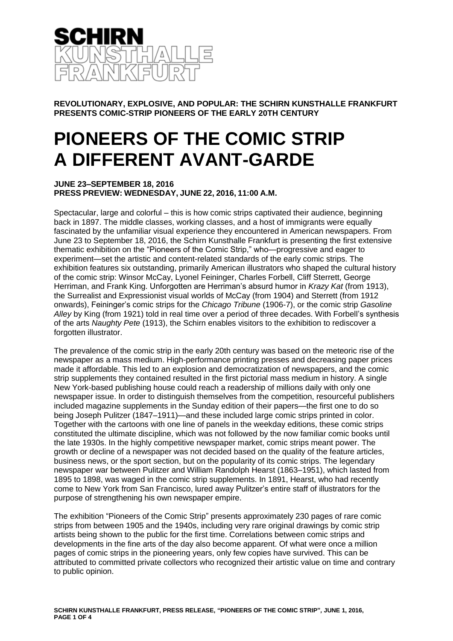

**REVOLUTIONARY, EXPLOSIVE, AND POPULAR: THE SCHIRN KUNSTHALLE FRANKFURT PRESENTS COMIC-STRIP PIONEERS OF THE EARLY 20TH CENTURY**

## **PIONEERS OF THE COMIC STRIP A DIFFERENT AVANT-GARDE**

## **JUNE 23–SEPTEMBER 18, 2016 PRESS PREVIEW: WEDNESDAY, JUNE 22, 2016, 11:00 A.M.**

Spectacular, large and colorful – this is how comic strips captivated their audience, beginning back in 1897. The middle classes, working classes, and a host of immigrants were equally fascinated by the unfamiliar visual experience they encountered in American newspapers. From June 23 to September 18, 2016, the Schirn Kunsthalle Frankfurt is presenting the first extensive thematic exhibition on the "Pioneers of the Comic Strip," who—progressive and eager to experiment—set the artistic and content-related standards of the early comic strips. The exhibition features six outstanding, primarily American illustrators who shaped the cultural history of the comic strip: Winsor McCay, Lyonel Feininger, Charles Forbell, Cliff Sterrett, George Herriman, and Frank King. Unforgotten are Herriman's absurd humor in *Krazy Kat* (from 1913), the Surrealist and Expressionist visual worlds of McCay (from 1904) and Sterrett (from 1912 onwards), Feininger's comic strips for the *Chicago Tribune* (1906-7), or the comic strip *Gasoline Alley* by King (from 1921) told in real time over a period of three decades. With Forbell's synthesis of the arts *Naughty Pete* (1913), the Schirn enables visitors to the exhibition to rediscover a forgotten illustrator.

The prevalence of the comic strip in the early 20th century was based on the meteoric rise of the newspaper as a mass medium. High-performance printing presses and decreasing paper prices made it affordable. This led to an explosion and democratization of newspapers, and the comic strip supplements they contained resulted in the first pictorial mass medium in history. A single New York-based publishing house could reach a readership of millions daily with only one newspaper issue. In order to distinguish themselves from the competition, resourceful publishers included magazine supplements in the Sunday edition of their papers—the first one to do so being Joseph Pulitzer (1847–1911)—and these included large comic strips printed in color. Together with the cartoons with one line of panels in the weekday editions, these comic strips constituted the ultimate discipline, which was not followed by the now familiar comic books until the late 1930s. In the highly competitive newspaper market, comic strips meant power. The growth or decline of a newspaper was not decided based on the quality of the feature articles, business news, or the sport section, but on the popularity of its comic strips. The legendary newspaper war between Pulitzer and William Randolph Hearst (1863–1951), which lasted from 1895 to 1898, was waged in the comic strip supplements. In 1891, Hearst, who had recently come to New York from San Francisco, lured away Pulitzer's entire staff of illustrators for the purpose of strengthening his own newspaper empire.

The exhibition "Pioneers of the Comic Strip" presents approximately 230 pages of rare comic strips from between 1905 and the 1940s, including very rare original drawings by comic strip artists being shown to the public for the first time. Correlations between comic strips and developments in the fine arts of the day also become apparent. Of what were once a million pages of comic strips in the pioneering years, only few copies have survived. This can be attributed to committed private collectors who recognized their artistic value on time and contrary to public opinion.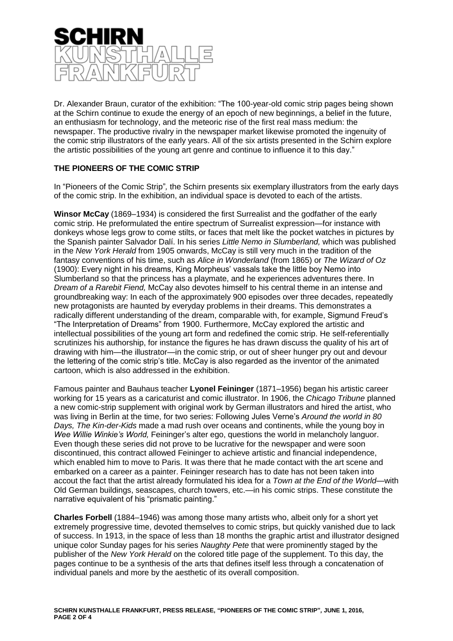

Dr. Alexander Braun, curator of the exhibition: "The 100-year-old comic strip pages being shown at the Schirn continue to exude the energy of an epoch of new beginnings, a belief in the future, an enthusiasm for technology, and the meteoric rise of the first real mass medium: the newspaper. The productive rivalry in the newspaper market likewise promoted the ingenuity of the comic strip illustrators of the early years. All of the six artists presented in the Schirn explore the artistic possibilities of the young art genre and continue to influence it to this day."

## **THE PIONEERS OF THE COMIC STRIP**

In "Pioneers of the Comic Strip"*,* the Schirn presents six exemplary illustrators from the early days of the comic strip. In the exhibition, an individual space is devoted to each of the artists.

**Winsor McCay** (1869–1934) is considered the first Surrealist and the godfather of the early comic strip. He preformulated the entire spectrum of Surrealist expression—for instance with donkeys whose legs grow to come stilts, or faces that melt like the pocket watches in pictures by the Spanish painter Salvador Dalí. In his series *Little Nemo in Slumberland,* which was published in the *New York Herald* from 1905 onwards, McCay is still very much in the tradition of the fantasy conventions of his time, such as *Alice in Wonderland* (from 1865) or *The Wizard of Oz*  (1900): Every night in his dreams, King Morpheus' vassals take the little boy Nemo into Slumberland so that the princess has a playmate, and he experiences adventures there. In *Dream of a Rarebit Fiend,* McCay also devotes himself to his central theme in an intense and groundbreaking way: In each of the approximately 900 episodes over three decades, repeatedly new protagonists are haunted by everyday problems in their dreams. This demonstrates a radically different understanding of the dream, comparable with, for example, Sigmund Freud's "The Interpretation of Dreams" from 1900. Furthermore, McCay explored the artistic and intellectual possibilities of the young art form and redefined the comic strip. He self-referentially scrutinizes his authorship, for instance the figures he has drawn discuss the quality of his art of drawing with him—the illustrator—in the comic strip, or out of sheer hunger pry out and devour the lettering of the comic strip's title. McCay is also regarded as the inventor of the animated cartoon, which is also addressed in the exhibition.

Famous painter and Bauhaus teacher **Lyonel Feininger** (1871–1956) began his artistic career working for 15 years as a caricaturist and comic illustrator. In 1906, the *Chicago Tribune* planned a new comic-strip supplement with original work by German illustrators and hired the artist, who was living in Berlin at the time, for two series: Following Jules Verne's *Around the world in 80 Days, The Kin-der-Kids* made a mad rush over oceans and continents, while the young boy in *Wee Willie Winkie's World,* Feininger's alter ego, questions the world in melancholy languor. Even though these series did not prove to be lucrative for the newspaper and were soon discontinued, this contract allowed Feininger to achieve artistic and financial independence, which enabled him to move to Paris. It was there that he made contact with the art scene and embarked on a career as a painter. Feininger research has to date has not been taken into accout the fact that the artist already formulated his idea for a *Town at the End of the World*—with Old German buildings, seascapes, church towers, etc.—in his comic strips. These constitute the narrative equivalent of his "prismatic painting."

**Charles Forbell** (1884–1946) was among those many artists who, albeit only for a short yet extremely progressive time, devoted themselves to comic strips, but quickly vanished due to lack of success. In 1913, in the space of less than 18 months the graphic artist and illustrator designed unique color Sunday pages for his series *Naughty Pete* that were prominently staged by the publisher of the *New York Herald* on the colored title page of the supplement. To this day, the pages continue to be a synthesis of the arts that defines itself less through a concatenation of individual panels and more by the aesthetic of its overall composition.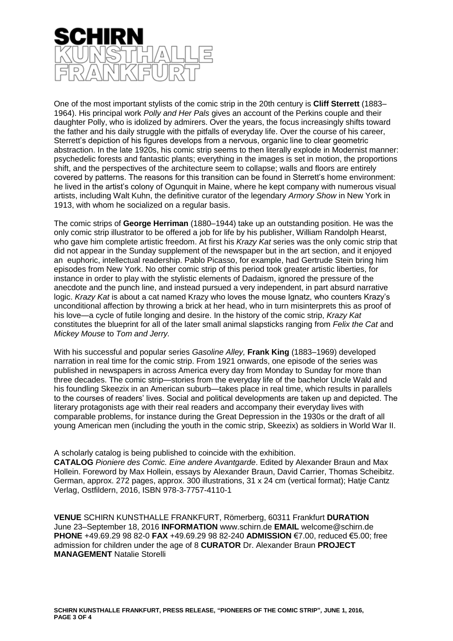

One of the most important stylists of the comic strip in the 20th century is **Cliff Sterrett** (1883– 1964). His principal work *Polly and Her Pals* gives an account of the Perkins couple and their daughter Polly, who is idolized by admirers. Over the years, the focus increasingly shifts toward the father and his daily struggle with the pitfalls of everyday life. Over the course of his career, Sterrett's depiction of his figures develops from a nervous, organic line to clear geometric abstraction. In the late 1920s, his comic strip seems to then literally explode in Modernist manner: psychedelic forests and fantastic plants; everything in the images is set in motion, the proportions shift, and the perspectives of the architecture seem to collapse; walls and floors are entirely covered by patterns. The reasons for this transition can be found in Sterrett's home environment: he lived in the artist's colony of Ogunquit in Maine, where he kept company with numerous visual artists, including Walt Kuhn, the definitive curator of the legendary *Armory Show* in New York in 1913, with whom he socialized on a regular basis.

The comic strips of **George Herriman** (1880–1944) take up an outstanding position. He was the only comic strip illustrator to be offered a job for life by his publisher, William Randolph Hearst, who gave him complete artistic freedom. At first his *Krazy Kat* series was the only comic strip that did not appear in the Sunday supplement of the newspaper but in the art section, and it enjoyed an euphoric, intellectual readership. Pablo Picasso, for example, had Gertrude Stein bring him episodes from New York. No other comic strip of this period took greater artistic liberties, for instance in order to play with the stylistic elements of Dadaism, ignored the pressure of the anecdote and the punch line, and instead pursued a very independent, in part absurd narrative logic. *Krazy Kat* is about a cat named Krazy who loves the mouse Ignatz, who counters Krazy's unconditional affection by throwing a brick at her head, who in turn misinterprets this as proof of his love—a cycle of futile longing and desire. In the history of the comic strip, *Krazy Kat* constitutes the blueprint for all of the later small animal slapsticks ranging from *Felix the Cat* and *Mickey Mouse* to *Tom and Jerry.*

With his successful and popular series *Gasoline Alley,* **Frank King** (1883–1969) developed narration in real time for the comic strip. From 1921 onwards, one episode of the series was published in newspapers in across America every day from Monday to Sunday for more than three decades. The comic strip—stories from the everyday life of the bachelor Uncle Wald and his foundling Skeezix in an American suburb—takes place in real time, which results in parallels to the courses of readers' lives. Social and political developments are taken up and depicted. The literary protagonists age with their real readers and accompany their everyday lives with comparable problems, for instance during the Great Depression in the 1930s or the draft of all young American men (including the youth in the comic strip, Skeezix) as soldiers in World War II.

## A scholarly catalog is being published to coincide with the exhibition. **CATALOG** *Pioniere des Comic. Eine andere Avantgarde*. Edited by Alexander Braun and Max Hollein. Foreword by Max Hollein, essays by Alexander Braun, David Carrier, Thomas Scheibitz.

German, approx. 272 pages, approx. 300 illustrations, 31 x 24 cm (vertical format); Hatje Cantz Verlag, Ostfildern, 2016, ISBN 978-3-7757-4110-1

**VENUE** SCHIRN KUNSTHALLE FRANKFURT, Römerberg, 60311 Frankfurt **DURATION** June 23–September 18, 2016 **INFORMATION** www.schirn.de **EMAIL** welcome@schirn.de **PHONE** +49.69.29 98 82-0 **FAX** +49.69.29 98 82-240 **ADMISSION** €7.00, reduced €5.00; free admission for children under the age of 8 **CURATOR** Dr. Alexander Braun **PROJECT MANAGEMENT** Natalie Storelli